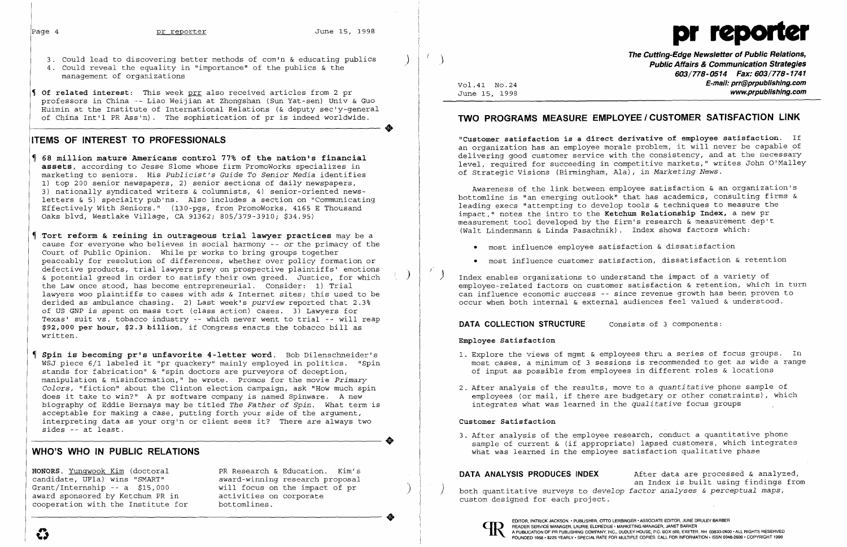

- 3. Could lead to discovering better methods of com'n & educating publics<br>4. Could reveal the equality in "importance" of the publics & the
- management of organizations
- **Of related interest:** This week prr also received articles from 2 pr professors in China .\_- Liao Weijian at Zhongshan (Sun Yat-sen) univ & Guo Huimin at the Institute of International Relations (& deputy see'y-general of China Int'l PR Ass'n). The sophistication of pr is indeed worldwide .

..

# **ITEMS OF INTEREST TO PROFESSIONALS**

- **68 million mature Americans control 77% of the nation's financial assets,** according to Jesse Slome whose firm PromoWorks specializes in marketing to seniors. His *Publicist's Guide To Senior Media* identifies 1) top 200 senior newspapers, 2) senior sections of daily newspapers, 3) nationally syndicated writers & columnists, 4) senior-oriented newsletters & 5) specialty pub'ns. Also includes a section on "Communicating Effectively With Seniors." (130-pgs, from PromoWorks, 4165 E Thousand Oaks blvd, Westlake Village, CA 91362; 805/379-3910; \$34.95)
- **Tort reform & reining in outrageous trial lawyer practices** may be a cause for everyone who believes in social harmony -- or the primacy of the Court of Public Opinion. While pr works to bring groups together peaceably for resolution of differences, whether over policy formation or defective products, trial lawyers prey on prospective plaintiffs' emotions & potential greed in order to satisfy their own greed. Justice, for which ) the Law once stood, has become entrepreneurial. Consider: 1) Trial lawyers woo plaintiffs to cases with ads & Internet sites; this used to be derided as ambulance chasing. 2) Last week's *purview* reported that 2.3% of US GNP is spent on mass tort (class action) cases. 3) Lawyers for Texas' suit vs. tobacco industry -- which never went to trial -- will reap **\$92,000 per hour, \$2.3 billion,** if Congress enacts the tobacco bill as written.
- **Spin is becoming prls unfavorite 4-letter word.** Bob Dilenschneider's WSJ piece 6/1 labeled it "pr quackery" mainly employed in politics. "Spin stands for fabrication" & "spin doctors are purveyors of deception, manipulation & misinformation," he wrote. Promos for the movie *Primary Colors,* "fiction" about the Clinton election campaign, ask "How much spin does it take to win?" A pr software company is named Spinware. A new biography of Eddie Bernays may be titled *The Father of Spin.* What term is acceptable for making a case, putting forth your side of the argument, interpreting data as your org'n or client sees it? There are always two sides -- at least.

**The Cutting-Edge Newsletter of Public Relations,** 0} **Public Affairs & Communication Strategies 603/778-0514 Fax: 603/778-1741**  Vol.41 No.24 **E-mail;prr@prpublishing.com** www.prpublishing.com

1. Explore the views of mgmt & employees thru a series of focus groups. In most cases, a minimum of 3 sessions is recommended to get as wide a range

..

# **WHO'S WHO IN PUBLIC RELATIONS**

HONORS. <u>Yunqwook Kim</u> (doctoral sine in the sect of Education. Kim's state of the Sundidate, UFla) wins "SMART" award-winning research proposal by the DATA ANALYSIS PRODUCES INDEX and Index is built using findings from a candidate, UFIa) wins "SMART" award-winning research proposal<br>Grant/Internship -- a \$15,000 will focus on the impact of pr<br>award sponsored by Ketchum PR in activities on corporate award both quantitative surveys to develop

# **TWO PROGRAMS MEASURE EMPLOYEE I CUSTOMER SATISFACTION LINK**

**"Customer satisfaction is a direct derivative of employee satisfaction.** If an organization has an employee morale problem, it will never be capable of delivering good customer service with the consistency, and at the necessary level, required for succeeding in competitive markets," writes John O'Malley of Strategic Visions (Birmingham, Ala), in *Marketing News.* 

Awareness of the link between employee satisfaction & an organization's bottomline is "an emerging outlook" that has academics, consulting firms & leading execs "attempting to develop tools & techniques to measure the impact," notes the intro to the **Ketchwn Relationship Index,** a new pr measurement tool developed by the firm's research & measurement dep't (Walt Lindenmann & Linda Pasachnik). Index shows factors which:

• most influence customer satisfaction, dissatisfaction & retention

- • most influence employee satisfaction & dissatisfaction
- 
- Index enables organizations to understand the impact of a variety of occur when both internal & external audiences feel valued & understood.

## **DATA COLLECTION STRUCTURE** Consists of 3 components:

employee-related factors on customer satisfaction & retention, which in turn can influence economic success -- since revenue growth has been proven to

### **Employee Satisfaction**

- of input as possible from employees in different roles & locations
- 2. After analysis of the results, move to a *quantitative* phone sample of integrates what was learned in the *qualitative* focus groups

employees (or mail, if there are budgetary or other constraints), which

### **Customer Satisfaction**

what was learned in the employee satisfaction qualitative phase



3. After analysis of the employee research, conduct a quantitative phone sample of current & (if appropriate) lapsed customers, which integrates